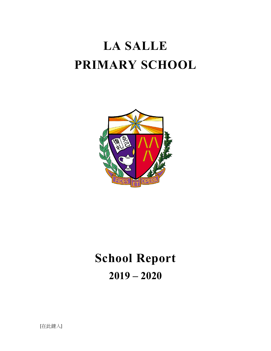# **LA SALLE PRIMARY SCHOOL**



# **School Report 2019 – 2020**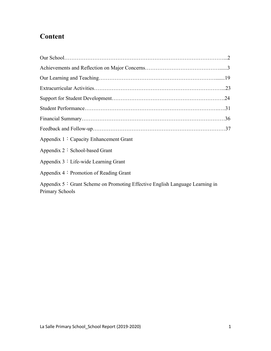# **Content**

| Appendix 1: Capacity Enhancement Grant                                                                       |  |
|--------------------------------------------------------------------------------------------------------------|--|
| Appendix 2: School-based Grant                                                                               |  |
| Appendix $3:$ Life-wide Learning Grant                                                                       |  |
| Appendix $4:$ Promotion of Reading Grant                                                                     |  |
| Appendix $5 \div$ Grant Scheme on Promoting Effective English Language Learning in<br><b>Primary Schools</b> |  |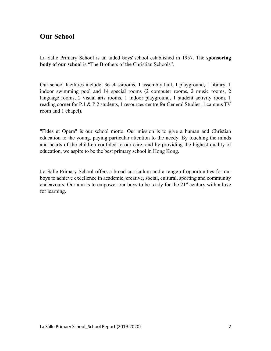## **Our School**

La Salle Primary School is an aided boys' school established in 1957. The **sponsoring body of our school** is "The Brothers of the Christian Schools".

Our school facilities include: 36 classrooms, 1 assembly hall, 1 playground, 1 library, 1 indoor swimming pool and 14 special rooms (2 computer rooms, 2 music rooms, 2 language rooms, 2 visual arts rooms, 1 indoor playground, 1 student activity room, 1 reading corner for P.1 & P.2 students, 1 resources centre for General Studies, 1 campus TV room and 1 chapel).

"Fides et Opera" is our school motto. Our mission is to give a human and Christian education to the young, paying particular attention to the needy. By touching the minds and hearts of the children confided to our care, and by providing the highest quality of education, we aspire to be the best primary school in Hong Kong.

La Salle Primary School offers a broad curriculum and a range of opportunities for our boys to achieve excellence in academic, creative, social, cultural, sporting and community endeavours. Our aim is to empower our boys to be ready for the  $21<sup>st</sup>$  century with a love for learning.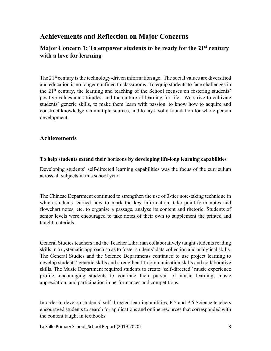# **Achievements and Reflection on Major Concerns**

## **Major Concern 1: To empower students to be ready for the 21st century with a love for learning**

The 21<sup>st</sup> century is the technology-driven information age. The social values are diversified and education is no longer confined to classrooms. To equip students to face challenges in the  $21<sup>st</sup>$  century, the learning and teaching of the School focuses on fostering students' positive values and attitudes, and the culture of learning for life. We strive to cultivate students' generic skills, to make them learn with passion, to know how to acquire and construct knowledge via multiple sources, and to lay a solid foundation for whole-person development.

## **Achievements**

#### **To help students extend their horizons by developing life-long learning capabilities**

Developing students' self-directed learning capabilities was the focus of the curriculum across all subjects in this school year.

The Chinese Department continued to strengthen the use of 3-tier note-taking technique in which students learned how to mark the key information, take point-form notes and flowchart notes, etc. to organise a passage, analyse its content and rhetoric. Students of senior levels were encouraged to take notes of their own to supplement the printed and taught materials.

General Studies teachers and the Teacher Librarian collaboratively taught students reading skills in a systematic approach so as to foster students' data collection and analytical skills. The General Studies and the Science Departments continued to use project learning to develop students' generic skills and strengthen IT communication skills and collaborative skills. The Music Department required students to create "self-directed" music experience profile, encouraging students to continue their pursuit of music learning, music appreciation, and participation in performances and competitions.

In order to develop students' self-directed learning abilities, P.5 and P.6 Science teachers encouraged students to search for applications and online resources that corresponded with the content taught in textbooks.

La Salle Primary School\_School Report (2019-2020) 3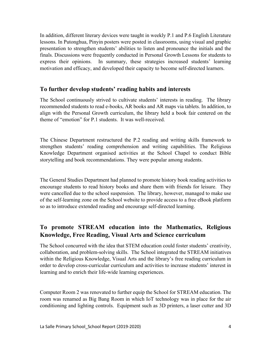In addition, different literary devices were taught in weekly P.1 and P.6 English Literature lessons. In Putonghua, Pinyin posters were posted in classrooms, using visual and graphic presentation to strengthen students' abilities to listen and pronounce the initials and the finals. Discussions were frequently conducted in Personal Growth Lessons for students to express their opinions. In summary, these strategies increased students' learning motivation and efficacy, and developed their capacity to become self-directed learners.

#### **To further develop students' reading habits and interests**

The School continuously strived to cultivate students' interests in reading. The library recommended students to read e-books, AR books and AR maps via tablets. In addition, to align with the Personal Growth curriculum, the library held a book fair centered on the theme of "emotion" for P.1 students. It was well-received.

The Chinese Department restructured the P.2 reading and writing skills framework to strengthen students' reading comprehension and writing capabilities. The Religious Knowledge Department organised activities at the School Chapel to conduct Bible storytelling and book recommendations. They were popular among students.

The General Studies Department had planned to promote history book reading activities to encourage students to read history books and share them with friends for leisure. They were cancelled due to the school suspension. The library, however, managed to make use of the self-learning zone on the School website to provide access to a free eBook platform so as to introduce extended reading and encourage self-directed learning.

## **To promote STREAM education into the Mathematics, Religious Knowledge, Free Reading, Visual Arts and Science curriculum**

The School concurred with the idea that STEM education could foster students' creativity, collaboration, and problem-solving skills. The School integrated the STREAM initiatives within the Religious Knowledge, Visual Arts and the library's free reading curriculum in order to develop cross-curricular curriculum and activities to increase students' interest in learning and to enrich their life-wide learning experiences.

Computer Room 2 was renovated to further equip the School for STREAM education. The room was renamed as Big Bang Room in which IoT technology was in place for the air conditioning and lighting controls. Equipment such as 3D printers, a laser cutter and 3D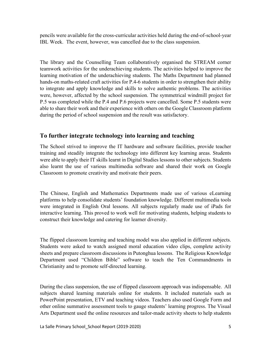pencils were available for the cross-curricular activities held during the end-of-school-year IBL Week. The event, however, was cancelled due to the class suspension.

The library and the Counselling Team collaboratively organised the STREAM corner teamwork activities for the underachieving students. The activities helped to improve the learning motivation of the underachieving students. The Maths Department had planned hands-on maths-related craft activities for P.4-6 students in order to strengthen their ability to integrate and apply knowledge and skills to solve authentic problems. The activities were, however, affected by the school suspension. The symmetrical windmill project for P.5 was completed while the P.4 and P.6 projects were cancelled. Some P.5 students were able to share their work and their experience with others on the Google Classroom platform during the period of school suspension and the result was satisfactory.

## **To further integrate technology into learning and teaching**

The School strived to improve the IT hardware and software facilities, provide teacher training and steadily integrate the technology into different key learning areas. Students were able to apply their IT skills learnt in Digital Studies lessons to other subjects. Students also learnt the use of various multimedia software and shared their work on Google Classroom to promote creativity and motivate their peers.

The Chinese, English and Mathematics Departments made use of various eLearning platforms to help consolidate students' foundation knowledge. Different multimedia tools were integrated in English Oral lessons. All subjects regularly made use of iPads for interactive learning. This proved to work well for motivating students, helping students to construct their knowledge and catering for learner diversity.

The flipped classroom learning and teaching model was also applied in different subjects. Students were asked to watch assigned moral education video clips, complete activity sheets and prepare classroom discussions in Putonghua lessons. The Religious Knowledge Department used "Children Bible" software to teach the Ten Commandments in Christianity and to promote self-directed learning.

During the class suspension, the use of flipped classroom approach was indispensable. All subjects shared learning materials online for students. It included materials such as PowerPoint presentation, ETV and teaching videos. Teachers also used Google Form and other online summative assessment tools to gauge students' learning progress. The Visual Arts Department used the online resources and tailor-made activity sheets to help students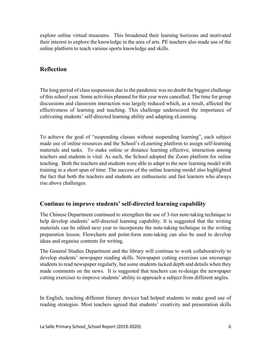explore online virtual museums. This broadened their learning horizons and motivated their interest to explore the knowledge in the area of arts. PE teachers also made use of the online platform to teach various sports knowledge and skills.

## **Reflection**

The long period of class suspension due to the pandemic was no doubt the biggest challenge of this school year. Some activities planned for this year were cancelled. The time for group discussions and classroom interaction was largely reduced which, as a result, affected the effectiveness of learning and teaching. This challenge underscored the importance of cultivating students' self-directed learning ability and adapting eLearning.

To achieve the goal of "suspending classes without suspending learning", each subject made use of online resources and the School's eLearning platform to assign self-learning materials and tasks. To make online or distance learning effective, interaction among teachers and students is vital. As such, the School adopted the Zoom platform for online teaching. Both the teachers and students were able to adapt to the new learning model with training in a short span of time. The success of the online learning model also highlighted the fact that both the teachers and students are enthusiastic and fast learners who always rise above challenges.

## **Continue to improve students' self-directed learning capability**

The Chinese Department continued to strengthen the use of 3-tier note-taking technique to help develop students' self-directed learning capability. It is suggested that the writing materials can be edited next year to incorporate the note-taking technique in the writing preparation lesson. Flowcharts and point-form note-taking can also be used to develop ideas and organise contents for writing.

The General Studies Department and the library will continue to work collaboratively to develop students' newspaper reading skills. Newspaper cutting exercises can encourage students to read newspaper regularly, but some students lacked depth and details when they made comments on the news. It is suggested that teachers can re-design the newspaper cutting exercises to improve students' ability to approach a subject from different angles.

In English, teaching different literary devices had helped students to make good use of reading strategies. Most teachers agreed that students' creativity and presentation skills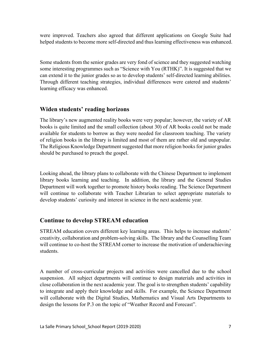were improved. Teachers also agreed that different applications on Google Suite had helped students to become more self-directed and thus learning effectiveness was enhanced.

Some students from the senior grades are very fond of science and they suggested watching some interesting programmes such as "Science with You (RTHK)". It is suggested that we can extend it to the junior grades so as to develop students' self-directed learning abilities. Through different teaching strategies, individual differences were catered and students' learning efficacy was enhanced.

## **Widen students' reading horizons**

The library's new augmented reality books were very popular; however, the variety of AR books is quite limited and the small collection (about 30) of AR books could not be made available for students to borrow as they were needed for classroom teaching. The variety of religion books in the library is limited and most of them are rather old and unpopular. The Religious Knowledge Department suggested that more religion books for junior grades should be purchased to preach the gospel.

Looking ahead, the library plans to collaborate with the Chinese Department to implement library books learning and teaching. In addition, the library and the General Studies Department will work together to promote history books reading. The Science Department will continue to collaborate with Teacher Librarian to select appropriate materials to develop students' curiosity and interest in science in the next academic year.

## **Continue to develop STREAM education**

STREAM education covers different key learning areas. This helps to increase students' creativity, collaboration and problem-solving skills. The library and the Counselling Team will continue to co-host the STREAM corner to increase the motivation of underachieving students.

A number of cross-curricular projects and activities were cancelled due to the school suspension. All subject departments will continue to design materials and activities in close collaboration in the next academic year. The goal is to strengthen students' capability to integrate and apply their knowledge and skills. For example, the Science Department will collaborate with the Digital Studies, Mathematics and Visual Arts Departments to design the lessons for P.3 on the topic of "Weather Record and Forecast".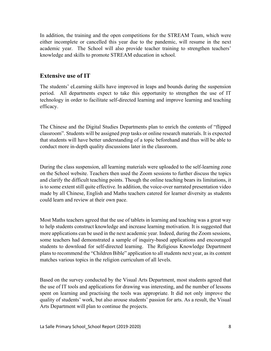In addition, the training and the open competitions for the STREAM Team, which were either incomplete or cancelled this year due to the pandemic, will resume in the next academic year. The School will also provide teacher training to strengthen teachers' knowledge and skills to promote STREAM education in school.

#### **Extensive use of IT**

The students' eLearning skills have improved in leaps and bounds during the suspension period. All departments expect to take this opportunity to strengthen the use of IT technology in order to facilitate self-directed learning and improve learning and teaching efficacy.

The Chinese and the Digital Studies Departments plan to enrich the contents of "flipped classroom". Students will be assigned prep tasks or online research materials. It is expected that students will have better understanding of a topic beforehand and thus will be able to conduct more in-depth quality discussions later in the classroom.

During the class suspension, all learning materials were uploaded to the self-learning zone on the School website. Teachers then used the Zoom sessions to further discuss the topics and clarify the difficult teaching points. Though the online teaching bears its limitations, it is to some extent still quite effective. In addition, the voice-over narrated presentation video made by all Chinese, English and Maths teachers catered for learner diversity as students could learn and review at their own pace.

Most Maths teachers agreed that the use of tablets in learning and teaching was a great way to help students construct knowledge and increase learning motivation. It is suggested that more applications can be used in the next academic year. Indeed, during the Zoom sessions, some teachers had demonstrated a sample of inquiry-based applications and encouraged students to download for self-directed learning. The Religious Knowledge Department plans to recommend the "Children Bible" application to all students next year, as its content matches various topics in the religion curriculum of all levels.

Based on the survey conducted by the Visual Arts Department, most students agreed that the use of IT tools and applications for drawing was interesting, and the number of lessons spent on learning and practising the tools was appropriate. It did not only improve the quality of students' work, but also arouse students' passion for arts. As a result, the Visual Arts Department will plan to continue the projects.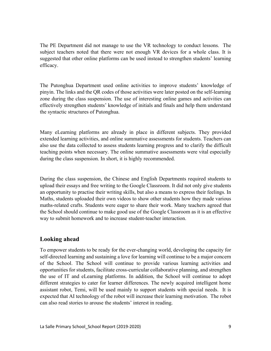The PE Department did not manage to use the VR technology to conduct lessons. The subject teachers noted that there were not enough VR devices for a whole class. It is suggested that other online platforms can be used instead to strengthen students' learning efficacy.

The Putonghua Department used online activities to improve students' knowledge of pinyin. The links and the QR codes of those activities were later posted on the self-learning zone during the class suspension. The use of interesting online games and activities can effectively strengthen students' knowledge of initials and finals and help them understand the syntactic structures of Putonghua.

Many eLearning platforms are already in place in different subjects. They provided extended learning activities, and online summative assessments for students. Teachers can also use the data collected to assess students learning progress and to clarify the difficult teaching points when necessary. The online summative assessments were vital especially during the class suspension. In short, it is highly recommended.

During the class suspension, the Chinese and English Departments required students to upload their essays and free writing to the Google Classroom. It did not only give students an opportunity to practise their writing skills, but also a means to express their feelings. In Maths, students uploaded their own videos to show other students how they made various maths-related crafts. Students were eager to share their work. Many teachers agreed that the School should continue to make good use of the Google Classroom as it is an effective way to submit homework and to increase student-teacher interaction.

## **Looking ahead**

To empower students to be ready for the ever-changing world, developing the capacity for self-directed learning and sustaining a love for learning will continue to be a major concern of the School. The School will continue to provide various learning activities and opportunities for students, facilitate cross-curricular collaborative planning, and strengthen the use of IT and eLearning platforms. In addition, the School will continue to adopt different strategies to cater for learner differences. The newly acquired intelligent home assistant robot, Temi, will be used mainly to support students with special needs. It is expected that AI technology of the robot will increase their learning motivation. The robot can also read stories to arouse the students' interest in reading.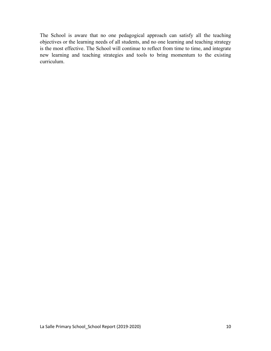The School is aware that no one pedagogical approach can satisfy all the teaching objectives or the learning needs of all students, and no one learning and teaching strategy is the most effective. The School will continue to reflect from time to time, and integrate new learning and teaching strategies and tools to bring momentum to the existing curriculum.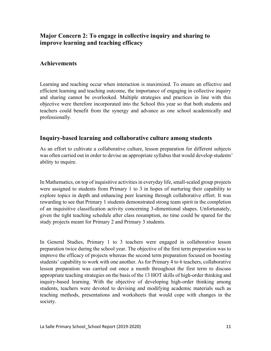## **Major Concern 2: To engage in collective inquiry and sharing to improve learning and teaching efficacy**

## **Achievements**

Learning and teaching occur when interaction is maximized. To ensure an effective and efficient learning and teaching outcome, the importance of engaging in collective inquiry and sharing cannot be overlooked. Multiple strategies and practices in line with this objective were therefore incorporated into the School this year so that both students and teachers could benefit from the synergy and advance as one school academically and professionally.

#### **Inquiry-based learning and collaborative culture among students**

As an effort to cultivate a collaborative culture, lesson preparation for different subjects was often carried out in order to devise an appropriate syllabus that would develop students' ability to inquire.

In Mathematics, on top of inquisitive activities in everyday life, small-scaled group projects were assigned to students from Primary 1 to 3 in hopes of nurturing their capability to explore topics in depth and enhancing peer learning through collaborative effort. It was rewarding to see that Primary 1 students demonstrated strong team spirit in the completion of an inquisitive classification activity concerning 3-dimentional shapes. Unfortunately, given the tight teaching schedule after class resumption, no time could be spared for the study projects meant for Primary 2 and Primary 3 students.

In General Studies, Primary 1 to 3 teachers were engaged in collaborative lesson preparation twice during the school year. The objective of the first term preparation was to improve the efficacy of projects whereas the second term preparation focused on boosting students' capability to work with one another. As for Primary 4 to 6 teachers, collaborative lesson preparation was carried out once a month throughout the first term to discuss appropriate teaching strategies on the basis of the 13 HOT skills of high-order thinking and inquiry-based learning. With the objective of developing high-order thinking among students, teachers were devoted to devising and modifying academic materials such as teaching methods, presentations and worksheets that would cope with changes in the society.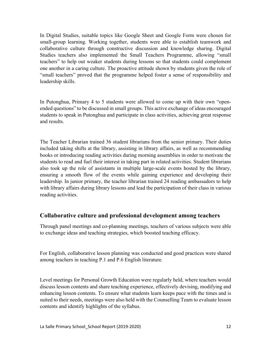In Digital Studies, suitable topics like Google Sheet and Google Form were chosen for small-group learning. Working together, students were able to establish teamwork and collaborative culture through constructive discussion and knowledge sharing. Digital Studies teachers also implemented the Small Teachers Programme, allowing "small teachers" to help out weaker students during lessons so that students could complement one another in a caring culture. The proactive attitude shown by students given the role of "small teachers" proved that the programme helped foster a sense of responsibility and leadership skills.

In Putonghua, Primary 4 to 5 students were allowed to come up with their own "openended questions" to be discussed in small groups. This active exchange of ideas encouraged students to speak in Putonghua and participate in class activities, achieving great response and results.

The Teacher Librarian trained 36 student librarians from the senior primary. Their duties included taking shifts at the library, assisting in library affairs, as well as recommending books or introducing reading activities during morning assemblies in order to motivate the students to read and fuel their interest in taking part in related activities. Student librarians also took up the role of assistants in multiple large-scale events hosted by the library, ensuring a smooth flow of the events while gaining experience and developing their leadership. In junior primary, the teacher librarian trained 24 reading ambassadors to help with library affairs during library lessons and lead the participation of their class in various reading activities.

## **Collaborative culture and professional development among teachers**

Through panel meetings and co-planning meetings, teachers of various subjects were able to exchange ideas and teaching strategies, which boosted teaching efficacy.

For English, collaborative lesson planning was conducted and good practices were shared among teachers in teaching P.1 and P.6 English literature.

Level meetings for Personal Growth Education were regularly held, where teachers would discuss lesson contents and share teaching experience, effectively devising, modifying and enhancing lesson contents. To ensure what students learn keeps pace with the times and is suited to their needs, meetings were also held with the Counselling Team to evaluate lesson contents and identify highlights of the syllabus.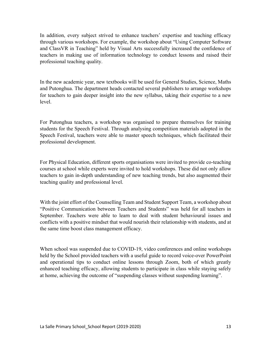In addition, every subject strived to enhance teachers' expertise and teaching efficacy through various workshops. For example, the workshop about "Using Computer Software and ClassVR in Teaching" held by Visual Arts successfully increased the confidence of teachers in making use of information technology to conduct lessons and raised their professional teaching quality.

In the new academic year, new textbooks will be used for General Studies, Science, Maths and Putonghua. The department heads contacted several publishers to arrange workshops for teachers to gain deeper insight into the new syllabus, taking their expertise to a new level.

For Putonghua teachers, a workshop was organised to prepare themselves for training students for the Speech Festival. Through analysing competition materials adopted in the Speech Festival, teachers were able to master speech techniques, which facilitated their professional development.

For Physical Education, different sports organisations were invited to provide co-teaching courses at school while experts were invited to hold workshops. These did not only allow teachers to gain in-depth understanding of new teaching trends, but also augmented their teaching quality and professional level.

With the joint effort of the Counselling Team and Student Support Team, a workshop about "Positive Communication between Teachers and Students" was held for all teachers in September. Teachers were able to learn to deal with student behavioural issues and conflicts with a positive mindset that would nourish their relationship with students, and at the same time boost class management efficacy.

When school was suspended due to COVID-19, video conferences and online workshops held by the School provided teachers with a useful guide to record voice-over PowerPoint and operational tips to conduct online lessons through Zoom, both of which greatly enhanced teaching efficacy, allowing students to participate in class while staying safely at home, achieving the outcome of "suspending classes without suspending learning".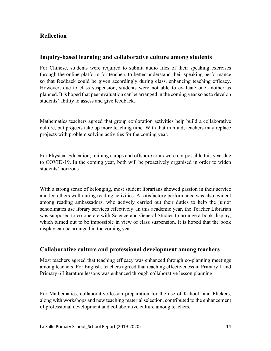## **Reflection**

### **Inquiry-based learning and collaborative culture among students**

For Chinese, students were required to submit audio files of their speaking exercises through the online platform for teachers to better understand their speaking performance so that feedback could be given accordingly during class, enhancing teaching efficacy. However, due to class suspension, students were not able to evaluate one another as planned. It is hoped that peer evaluation can be arranged in the coming year so as to develop students' ability to assess and give feedback.

Mathematics teachers agreed that group exploration activities help build a collaborative culture, but projects take up more teaching time. With that in mind, teachers may replace projects with problem solving activities for the coming year.

For Physical Education, training camps and offshore tours were not possible this year due to COVID-19. In the coming year, both will be proactively organised in order to widen students' horizons.

With a strong sense of belonging, most student librarians showed passion in their service and led others well during reading activities. A satisfactory performance was also evident among reading ambassadors, who actively carried out their duties to help the junior schoolmates use library services effectively. In this academic year, the Teacher Librarian was supposed to co-operate with Science and General Studies to arrange a book display, which turned out to be impossible in view of class suspension. It is hoped that the book display can be arranged in the coming year.

## **Collaborative culture and professional development among teachers**

Most teachers agreed that teaching efficacy was enhanced through co-planning meetings among teachers. For English, teachers agreed that teaching effectiveness in Primary 1 and Primary 6 Literature lessons was enhanced through collaborative lesson planning.

For Mathematics, collaborative lesson preparation for the use of Kahoot! and Plickers, along with workshops and new teaching material selection, contributed to the enhancement of professional development and collaborative culture among teachers.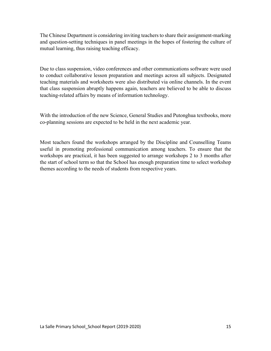The Chinese Department is considering inviting teachers to share their assignment-marking and question-setting techniques in panel meetings in the hopes of fostering the culture of mutual learning, thus raising teaching efficacy.

Due to class suspension, video conferences and other communications software were used to conduct collaborative lesson preparation and meetings across all subjects. Designated teaching materials and worksheets were also distributed via online channels. In the event that class suspension abruptly happens again, teachers are believed to be able to discuss teaching-related affairs by means of information technology.

With the introduction of the new Science, General Studies and Putonghua textbooks, more co-planning sessions are expected to be held in the next academic year.

Most teachers found the workshops arranged by the Discipline and Counselling Teams useful in promoting professional communication among teachers. To ensure that the workshops are practical, it has been suggested to arrange workshops 2 to 3 months after the start of school term so that the School has enough preparation time to select workshop themes according to the needs of students from respective years.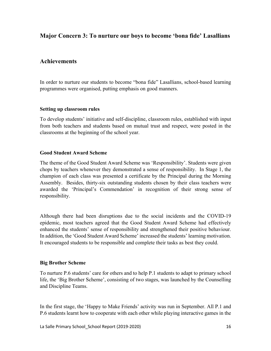## **Major Concern 3: To nurture our boys to become 'bona fide' Lasallians**

## **Achievements**

In order to nurture our students to become "bona fide" Lasallians, school-based learning programmes were organised, putting emphasis on good manners.

#### **Setting up classroom rules**

To develop students' initiative and self-discipline, classroom rules, established with input from both teachers and students based on mutual trust and respect, were posted in the classrooms at the beginning of the school year.

#### **Good Student Award Scheme**

The theme of the Good Student Award Scheme was 'Responsibility'. Students were given chops by teachers whenever they demonstrated a sense of responsibility. In Stage 1, the champion of each class was presented a certificate by the Principal during the Morning Assembly. Besides, thirty-six outstanding students chosen by their class teachers were awarded the 'Principal's Commendation' in recognition of their strong sense of responsibility.

Although there had been disruptions due to the social incidents and the COVID-19 epidemic, most teachers agreed that the Good Student Award Scheme had effectively enhanced the students' sense of responsibility and strengthened their positive behaviour. In addition, the 'Good Student Award Scheme' increased the students' learning motivation. It encouraged students to be responsible and complete their tasks as best they could.

#### **Big Brother Scheme**

To nurture P.6 students' care for others and to help P.1 students to adapt to primary school life, the 'Big Brother Scheme', consisting of two stages, was launched by the Counselling and Discipline Teams.

In the first stage, the 'Happy to Make Friends' activity was run in September. All P.1 and P.6 students learnt how to cooperate with each other while playing interactive games in the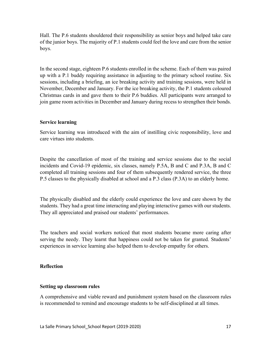Hall. The P.6 students shouldered their responsibility as senior boys and helped take care of the junior boys. The majority of P.1 students could feel the love and care from the senior boys.

In the second stage, eighteen P.6 students enrolled in the scheme. Each of them was paired up with a P.1 buddy requiring assistance in adjusting to the primary school routine. Six sessions, including a briefing, an ice breaking activity and training sessions, were held in November, December and January. For the ice breaking activity, the P.1 students coloured Christmas cards in and gave them to their P.6 buddies. All participants were arranged to join game room activities in December and January during recess to strengthen their bonds.

#### **Service learning**

Service learning was introduced with the aim of instilling civic responsibility, love and care virtues into students.

Despite the cancellation of most of the training and service sessions due to the social incidents and Covid-19 epidemic, six classes, namely P.5A, B and C and P.3A, B and C completed all training sessions and four of them subsequently rendered service, the three P.5 classes to the physically disabled at school and a P.3 class (P.3A) to an elderly home.

The physically disabled and the elderly could experience the love and care shown by the students. They had a great time interacting and playing interactive games with our students. They all appreciated and praised our students' performances.

The teachers and social workers noticed that most students became more caring after serving the needy. They learnt that happiness could not be taken for granted. Students' experiences in service learning also helped them to develop empathy for others.

#### **Reflection**

#### **Setting up classroom rules**

A comprehensive and viable reward and punishment system based on the classroom rules is recommended to remind and encourage students to be self-disciplined at all times.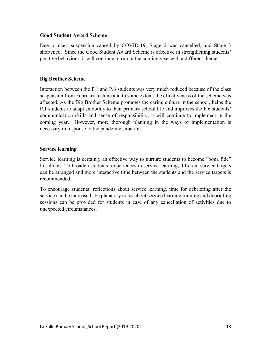#### **Good Student Award Scheme**

Due to class suspension caused by COVID-19, Stage 2 was cancelled, and Stage 3 shortened. Since the Good Student Award Scheme is effective in strengthening students' positive behaviour, it will continue to run in the coming year with a different theme.

#### **Big Brother Scheme**

Interaction between the P.1 and P.6 students was very much reduced because of the class suspension from February to June and to some extent, the effectiveness of the scheme was affected. As the Big Brother Scheme promotes the caring culture in the school, helps the P.1 students to adapt smoothly to their primary school life and improves the P.6 students' communication skills and sense of responsibility, it will continue to implement in the coming year. However, more thorough planning in the ways of implementation is necessary in response to the pandemic situation.

#### **Service learning**

Service learning is certainly an effective way to nurture students to become "bona fide" Lasallians. To broaden students' experiences in service learning, different service targets can be arranged and more interactive time between the students and the service targets is recommended.

To encourage students' reflections about service learning, time for debriefing after the service can be increased. Explanatory notes about service learning training and debriefing sessions can be provided for students in case of any cancellation of activities due to unexpected circumstances.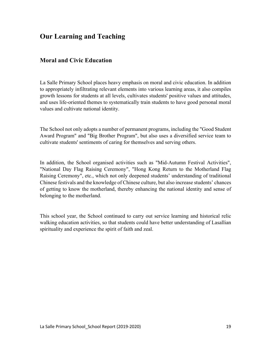# **Our Learning and Teaching**

## **Moral and Civic Education**

La Salle Primary School places heavy emphasis on moral and civic education. In addition to appropriately infiltrating relevant elements into various learning areas, it also compiles growth lessons for students at all levels, cultivates students' positive values and attitudes, and uses life-oriented themes to systematically train students to have good personal moral values and cultivate national identity.

The School not only adopts a number of permanent programs, including the "Good Student Award Program" and "Big Brother Program", but also uses a diversified service team to cultivate students' sentiments of caring for themselves and serving others.

In addition, the School organised activities such as "Mid-Autumn Festival Activities", "National Day Flag Raising Ceremony", "Hong Kong Return to the Motherland Flag Raising Ceremony", etc., which not only deepened students' understanding of traditional Chinese festivals and the knowledge of Chinese culture, but also increase students' chances of getting to know the motherland, thereby enhancing the national identity and sense of belonging to the motherland.

This school year, the School continued to carry out service learning and historical relic walking education activities, so that students could have better understanding of Lasallian spirituality and experience the spirit of faith and zeal.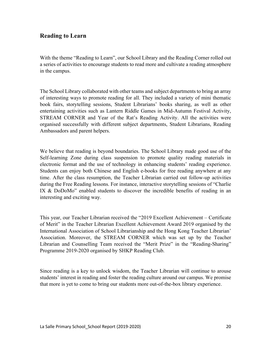## **Reading to Learn**

With the theme "Reading to Learn", our School Library and the Reading Corner rolled out a series of activities to encourage students to read more and cultivate a reading atmosphere in the campus.

The School Library collaborated with other teams and subject departments to bring an array of interesting ways to promote reading for all. They included a variety of mini thematic book fairs, storytelling sessions, Student Librarians' books sharing, as well as other entertaining activities such as Lantern Riddle Games in Mid-Autumn Festival Activity, STREAM CORNER and Year of the Rat's Reading Activity. All the activities were organised successfully with different subject departments, Student Librarians, Reading Ambassadors and parent helpers.

We believe that reading is beyond boundaries. The School Library made good use of the Self-learning Zone during class suspension to promote quality reading materials in electronic format and the use of technology in enhancing students' reading experience. Students can enjoy both Chinese and English e-books for free reading anywhere at any time. After the class resumption, the Teacher Librarian carried out follow-up activities during the Free Reading lessons. For instance, interactive storytelling sessions of "Charlie IX & DoDoMo" enabled students to discover the incredible benefits of reading in an interesting and exciting way.

This year, our Teacher Librarian received the "2019 Excellent Achievement – Certificate of Merit" in the Teacher Librarian Excellent Achievement Award 2019 organised by the International Association of School Librarianship and the Hong Kong Teacher Librarian' Association. Moreover, the STREAM CORNER which was set up by the Teacher Librarian and Counselling Team received the "Merit Prize" in the "Reading-Sharing" Programme 2019-2020 organised by SHKP Reading Club.

Since reading is a key to unlock wisdom, the Teacher Librarian will continue to arouse students' interest in reading and foster the reading culture around our campus. We promise that more is yet to come to bring our students more out-of-the-box library experience.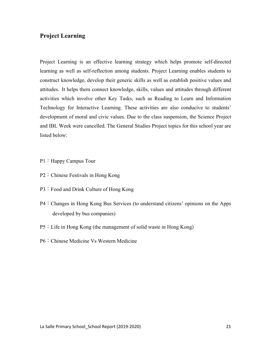## **Project Learning**

Project Learning is an effective learning strategy which helps promote self-directed learning as well as self-reflection among students. Project Learning enables students to construct knowledge, develop their generic skills as well as establish positive values and attitudes. It helps them connect knowledge, skills, values and attitudes through different activities which involve other Key Tasks, such as Reading to Learn and Information Technology for Interactive Learning. These activities are also conducive to students' development of moral and civic values. Due to the class suspension, the Science Project and IBL Week were cancelled. The General Studies Project topics for this school year are listed below:

- P1: Happy Campus Tour
- P2: Chinese Festivals in Hong Kong
- P3: Food and Drink Culture of Hong Kong
- P4:Changes in Hong Kong Bus Services (to understand citizens' opinions on the Apps developed by bus companies)
- P5:Life in Hong Kong (the management of solid waste in Hong Kong)
- P6: Chinese Medicine Vs Western Medicine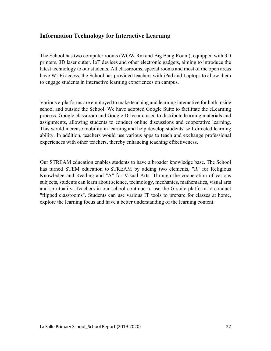## **Information Technology for Interactive Learning**

The School has two computer rooms (WOW Rm and Big Bang Room), equipped with 3D printers, 3D laser cutter, IoT devices and other electronic gadgets, aiming to introduce the latest technology to our students. All classrooms, special rooms and most of the open areas have Wi-Fi access, the School has provided teachers with iPad and Laptops to allow them to engage students in interactive learning experiences on campus.

Various e-platforms are employed to make teaching and learning interactive for both inside school and outside the School. We have adopted Google Suite to facilitate the eLearning process. Google classroom and Google Drive are used to distribute learning materials and assignments, allowing students to conduct online discussions and cooperative learning. This would increase mobility in learning and help develop students' self-directed learning ability. In addition, teachers would use various apps to teach and exchange professional experiences with other teachers, thereby enhancing teaching effectiveness.

Our STREAM education enables students to have a broader knowledge base. The School has turned STEM education to STREAM by adding two elements, "R" for Religious Knowledge and Reading and "A" for Visual Arts. Through the cooperation of various subjects, students can learn about science, technology, mechanics, mathematics, visual arts and spirituality. Teachers in our school continue to use the G suite platform to conduct "flipped classrooms". Students can use various IT tools to prepare for classes at home, explore the learning focus and have a better understanding of the learning content.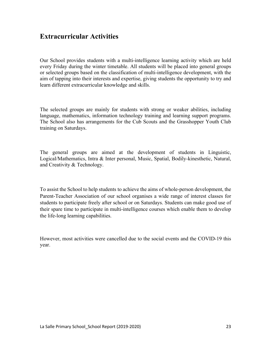# **Extracurricular Activities**

Our School provides students with a multi-intelligence learning activity which are held every Friday during the winter timetable. All students will be placed into general groups or selected groups based on the classification of multi-intelligence development, with the aim of tapping into their interests and expertise, giving students the opportunity to try and learn different extracurricular knowledge and skills.

The selected groups are mainly for students with strong or weaker abilities, including language, mathematics, information technology training and learning support programs. The School also has arrangements for the Cub Scouts and the Grasshopper Youth Club training on Saturdays.

The general groups are aimed at the development of students in Linguistic, Logical/Mathematics, Intra & Inter personal, Music, Spatial, Bodily-kinesthetic, Natural, and Creativity & Technology.

To assist the School to help students to achieve the aims of whole-person development, the Parent-Teacher Association of our school organises a wide range of interest classes for students to participate freely after school or on Saturdays. Students can make good use of their spare time to participate in multi-intelligence courses which enable them to develop the life-long learning capabilities.

However, most activities were cancelled due to the social events and the COVID-19 this year.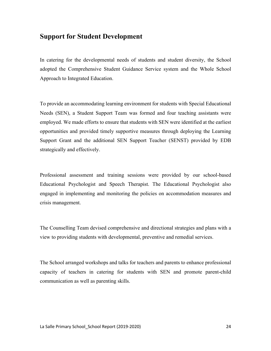## **Support for Student Development**

In catering for the developmental needs of students and student diversity, the School adopted the Comprehensive Student Guidance Service system and the Whole School Approach to Integrated Education.

To provide an accommodating learning environment for students with Special Educational Needs (SEN), a Student Support Team was formed and four teaching assistants were employed. We made efforts to ensure that students with SEN were identified at the earliest opportunities and provided timely supportive measures through deploying the Learning Support Grant and the additional SEN Support Teacher (SENST) provided by EDB strategically and effectively.

Professional assessment and training sessions were provided by our school-based Educational Psychologist and Speech Therapist. The Educational Psychologist also engaged in implementing and monitoring the policies on accommodation measures and crisis management.

The Counselling Team devised comprehensive and directional strategies and plans with a view to providing students with developmental, preventive and remedial services.

The School arranged workshops and talks for teachers and parents to enhance professional capacity of teachers in catering for students with SEN and promote parent-child communication as well as parenting skills.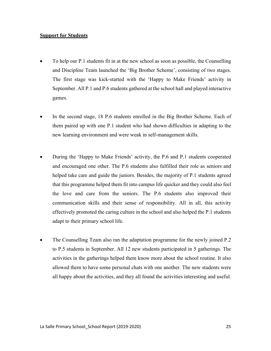#### **Support for Students**

- To help our P.1 students fit in at the new school as soon as possible, the Counselling and Discipline Team launched the 'Big Brother Scheme', consisting of two stages. The first stage was kick-started with the 'Happy to Make Friends' activity in September. All P.1 and P.6 students gathered at the school hall and played interactive games.
- In the second stage, 18 P.6 students enrolled in the Big Brother Scheme. Each of them paired up with one P.1 student who had shown difficulties in adapting to the new learning environment and were weak in self-management skills.
- During the 'Happy to Make Friends' activity, the P.6 and P.1 students cooperated and encouraged one other. The P.6 students also fulfilled their role as seniors and helped take care and guide the juniors. Besides, the majority of P.1 students agreed that this programme helped them fit into campus life quicker and they could also feel the love and care from the seniors. The P.6 students also improved their communication skills and their sense of responsibility. All in all, this activity effectively promoted the caring culture in the school and also helped the P.1 students adapt to their primary school life.
- The Counselling Team also ran the adaptation programme for the newly joined P.2 to P.5 students in September. All 12 new students participated in 5 gatherings. The activities in the gatherings helped them know more about the school routine. It also allowed them to have some personal chats with one another. The new students were all happy about the activities, and they all found the activities interesting and useful.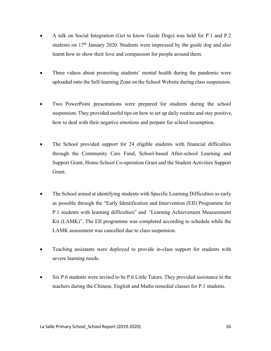- A talk on Social Integration (Get to know Guide Dogs) was held for P.1 and P.2 students on  $17<sup>th</sup>$  January 2020. Students were impressed by the guide dog and also learnt how to show their love and compassion for people around them.
- Three videos about promoting students' mental health during the pandemic were uploaded onto the Self-learning Zone on the School Website during class suspension.
- Two PowerPoint presentations were prepared for students during the school suspension. They provided useful tips on how to set up daily routine and stay positive, how to deal with their negative emotions and prepare for school resumption.
- The School provided support for 24 eligible students with financial difficulties through the Community Care Fund, School-based After-school Learning and Support Grant, Home-School Co-operation Grant and the Student Activities Support Grant.
- The School aimed at identifying students with Specific Learning Difficulties as early as possible through the "Early Identification and Intervention (EII) Programme for P.1 students with learning difficulties" and *"*Learning Achievement Measurement Kit (LAMK)". The EII programme was completed according to schedule while the LAMK assessment was cancelled due to class suspension*.*
- Teaching assistants were deployed to provide in-class support for students with severe learning needs.
- Six P.6 students were invited to be P.6 Little Tutors. They provided assistance to the teachers during the Chinese, English and Maths remedial classes for P.1 students.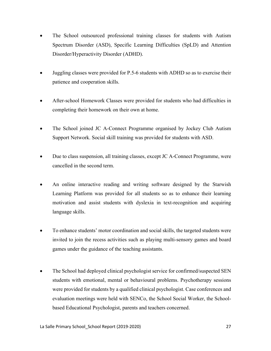- The School outsourced professional training classes for students with Autism Spectrum Disorder (ASD), Specific Learning Difficulties (SpLD) and Attention Disorder/Hyperactivity Disorder (ADHD).
- Juggling classes were provided for P.5-6 students with ADHD so as to exercise their patience and cooperation skills.
- After-school Homework Classes were provided for students who had difficulties in completing their homework on their own at home.
- The School joined JC A-Connect Programme organised by Jockey Club Autism Support Network. Social skill training was provided for students with ASD.
- Due to class suspension, all training classes, except JC A-Connect Programme, were cancelled in the second term.
- An online interactive reading and writing software designed by the Starwish Learning Platform was provided for all students so as to enhance their learning motivation and assist students with dyslexia in text-recognition and acquiring language skills.
- To enhance students' motor coordination and social skills, the targeted students were invited to join the recess activities such as playing multi-sensory games and board games under the guidance of the teaching assistants.
- The School had deployed clinical psychologist service for confirmed/suspected SEN students with emotional, mental or behavioural problems. Psychotherapy sessions were provided for students by a qualified clinical psychologist. Case conferences and evaluation meetings were held with SENCo, the School Social Worker, the Schoolbased Educational Psychologist, parents and teachers concerned.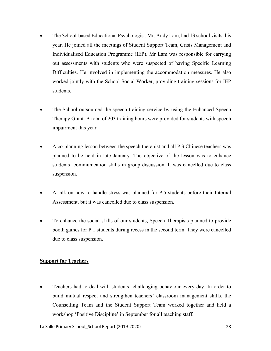- The School-based Educational Psychologist, Mr. Andy Lam, had 13 school visits this year. He joined all the meetings of Student Support Team, Crisis Management and Individualised Education Programme (IEP). Mr Lam was responsible for carrying out assessments with students who were suspected of having Specific Learning Difficulties. He involved in implementing the accommodation measures. He also worked jointly with the School Social Worker, providing training sessions for IEP students.
- The School outsourced the speech training service by using the Enhanced Speech Therapy Grant. A total of 203 training hours were provided for students with speech impairment this year.
- A co-planning lesson between the speech therapist and all P.3 Chinese teachers was planned to be held in late January. The objective of the lesson was to enhance students' communication skills in group discussion. It was cancelled due to class suspension.
- A talk on how to handle stress was planned for P.5 students before their Internal Assessment, but it was cancelled due to class suspension.
- To enhance the social skills of our students, Speech Therapists planned to provide booth games for P.1 students during recess in the second term. They were cancelled due to class suspension.

#### **Support for Teachers**

• Teachers had to deal with students' challenging behaviour every day. In order to build mutual respect and strengthen teachers' classroom management skills, the Counselling Team and the Student Support Team worked together and held a workshop 'Positive Discipline' in September for all teaching staff.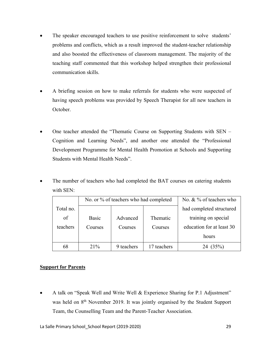- The speaker encouraged teachers to use positive reinforcement to solve students' problems and conflicts, which as a result improved the student-teacher relationship and also boosted the effectiveness of classroom management. The majority of the teaching staff commented that this workshop helped strengthen their professional communication skills.
- A briefing session on how to make referrals for students who were suspected of having speech problems was provided by Speech Therapist for all new teachers in October.
- One teacher attended the "Thematic Course on Supporting Students with SEN Cognition and Learning Needs", and another one attended the "Professional Development Programme for Mental Health Promotion at Schools and Supporting Students with Mental Health Needs".
- The number of teachers who had completed the BAT courses on catering students with SEN:

|           |         | No. or % of teachers who had completed |             | No. $\& \frac{9}{6}$ of teachers who |  |
|-----------|---------|----------------------------------------|-------------|--------------------------------------|--|
| Total no. |         |                                        |             | had completed structured             |  |
| of        | Basic   | Advanced                               | Thematic    | training on special                  |  |
| teachers  | Courses | Courses                                | Courses     | education for at least 30            |  |
|           |         |                                        |             | hours                                |  |
| 68        | 21%     | 9 teachers                             | 17 teachers | 24 (35%)                             |  |

#### **Support for Parents**

• A talk on "Speak Well and Write Well & Experience Sharing for P.1 Adjustment" was held on 8<sup>th</sup> November 2019. It was jointly organised by the Student Support Team, the Counselling Team and the Parent-Teacher Association.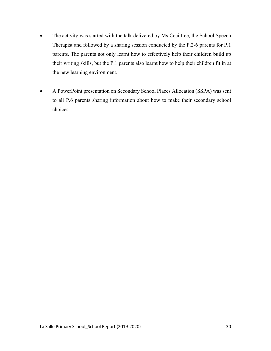- The activity was started with the talk delivered by Ms Ceci Lee, the School Speech Therapist and followed by a sharing session conducted by the P.2-6 parents for P.1 parents. The parents not only learnt how to effectively help their children build up their writing skills, but the P.1 parents also learnt how to help their children fit in at the new learning environment.
- A PowerPoint presentation on Secondary School Places Allocation (SSPA) was sent to all P.6 parents sharing information about how to make their secondary school choices.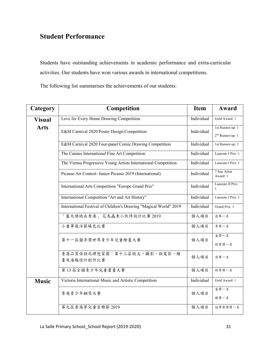# **Student Performance**

Students have outstanding achievements in academic performance and extra-curricular activities. Our students have won various awards in international competitions.

The following list summarises the achievements of our students:

| Category      | Competition                                                       | <b>Item</b> | Award                                            |
|---------------|-------------------------------------------------------------------|-------------|--------------------------------------------------|
| <b>Visual</b> | Love for Every Home Drawing Competition                           | Individual  | Gold Award: 1                                    |
| <b>Arts</b>   | E&M Carnival 2020 Poster Design Competition                       | Individual  | 1st Runner-up: 1<br>2 <sup>nd</sup> Runner-up: 1 |
|               | E&M Carnival 2020 Four-panel Comic Drawing Competition            | Individual  | 1st Runner-up: 2                                 |
|               | The Cannes International Fine Art Competition                     | Individual  | Laureate I Prix: 1                               |
|               | The Vienna Progressive Young Artists International Competition    | Individual  | Laureate I Prix: 1                               |
|               | Picasso Art Contest- Junior Picasso 2019 (International)          | Individual  | 7 Star Artist<br>Award: 1                        |
|               | International Arts Competition "Europe Grand Prix"                | Individual  | Laureate II Prix:<br>1                           |
|               | International Competition "Art and Art History"                   | Individual  | Laureate I Prix: 1                               |
|               | International Festival of Children's Drawing "Magical World" 2019 | Individual  | Grand Prix: 1                                    |
|               | 藍天綠地在香港」花鳥蟲魚小伙伴設計比賽 2019                                          | 個人項目        | 亞軍一名                                             |
|               | 小童軍復活節填色比賽                                                        | 個人項目        | 季軍一名                                             |
|               | 第十一屆蘭亭獎世界青少年兒童繪畫大賽                                                | 個人項目        | 金獎一名<br>特等獎一名                                    |
|               | 香港品質保證局理想家園:第十三屆徵文、攝影、微電影、繪<br>畫及海報設計創作比賽                         | 個人項目        | 亞軍一名                                             |
|               | 第13 居全國青少年兒童書畫大賽                                                  | 個人項目        | 特等獎一名                                            |
| <b>Music</b>  | Victoria International Music and Artistic Competition             | Individual  | Gold Award: 1                                    |
|               | 香港青少年鋼琴大賽                                                         | 個人項目        | 金獎一名<br>銀獎一名                                     |
|               | 第九屆香港夢兒童音樂節 2019                                                  | 個人項目        | 冠軍榮譽獎一名                                          |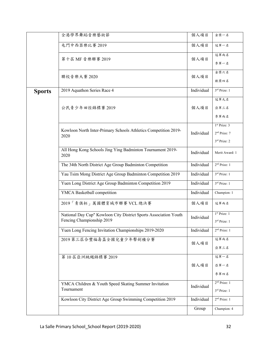|               | 全港學界舞蹈音樂藝術節                                                         | 個人項目       | 金獎一名                                       |
|---------------|---------------------------------------------------------------------|------------|--------------------------------------------|
|               | 屯門中西器樂比賽 2019                                                       | 個人項目       | 冠軍一名                                       |
|               | 第十屆 MF 音樂聯賽 2019                                                    | 個人項目       | 冠軍兩名                                       |
|               |                                                                     |            | 季軍一名                                       |
|               | 聯校音樂大賽 2020                                                         | 個人項目       | 金獎六名                                       |
|               |                                                                     |            | 銀獎四名                                       |
| <b>Sports</b> | 2019 Aquathon Series Race 4                                         | Individual | 3rd Prize: 1                               |
|               |                                                                     |            | 冠軍九名                                       |
|               | 公民青少年田徑錦標賽 2019                                                     | 個人項目       | 亞軍三名                                       |
|               |                                                                     |            | 季軍兩名                                       |
|               | Kowloon North Inter-Primary Schools Athletics Competition 2019-     |            | 1 <sup>st</sup> Prize: 3                   |
|               | 2020                                                                | Individual | 2 <sup>nd</sup> Prize: 7                   |
|               |                                                                     |            | 3rd Prize: 2                               |
|               | All Hong Kong Schools Jing Ying Badminton Tournament 2019-<br>2020  | Individual | Merit Award: 1                             |
|               | The 34th North District Age Group Badminton Competition             | Individual | 2 <sup>nd</sup> Prize: 1                   |
|               | Yau Tsim Mong District Age Group Badminton Competition 2019         | Individual | $3rd$ Prize: 1                             |
|               | Yuen Long District Age Group Badminton Competition 2019             | Individual | 3rd Prize: 1                               |
|               | YMCA Basketball competition                                         | Individual | Champion: 1                                |
|               | 2019「青俱杯」萬國體育城市聯賽 VCL 總決賽                                           | 個人項目       | 冠軍兩名                                       |
|               | National Day Cup" Kowloon City District Sports Association Youth    | Individual | 1 <sup>st</sup> Prize: 1                   |
|               | Fencing Championship 2019                                           |            | 3 <sup>rd</sup> Prize: 1                   |
|               | Yuen Long Fencing Invitation Championships 2019-2020                | Individual | 2 <sup>nd</sup> Prize: 1                   |
|               | 2019 第三居合豐福壽盃全國兒童少年擊劍積分賽                                            | 個人項目       | 冠軍兩名                                       |
|               |                                                                     |            | 亞軍三名                                       |
|               | 第10 届亞洲跳繩錦標賽 2019                                                   |            | 冠軍一名                                       |
|               |                                                                     | 個人項目       | 亞軍一名                                       |
|               |                                                                     |            | 季軍四名                                       |
|               | YMCA Children & Youth Speed Skating Summer Invitation<br>Tournament | Individual | 2 <sup>nd</sup> Prize: 1<br>$3rd$ Prize: 1 |
|               | Kowloon City District Age Group Swimming Competition 2019           | Individual | 2 <sup>nd</sup> Prize: 1                   |
|               |                                                                     | Group      | Champion: 4                                |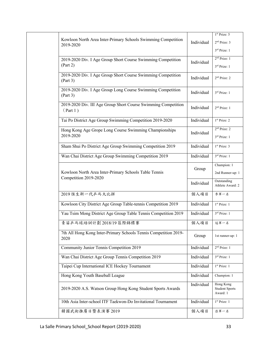|  |                                                                            |            | 1st Prize: 5                                   |
|--|----------------------------------------------------------------------------|------------|------------------------------------------------|
|  | Kowloon North Area Inter-Primary Schools Swimming Competition<br>2019-2020 | Individual | 2 <sup>nd</sup> Prize: 3                       |
|  |                                                                            |            | $3rd$ Prize: 1                                 |
|  | 2019-2020 Div. I Age Group Short Course Swimming Competition               |            | 2 <sup>nd</sup> Prize: 1                       |
|  | (Part 2)                                                                   | Individual | 3rd Prize: 1                                   |
|  | 2019-2020 Div. I Age Group Short Course Swimming Competition<br>(Part 3)   | Individual | 2 <sup>nd</sup> Prize: 2                       |
|  | 2019-2020 Div. I Age Group Long Course Swimming Competition<br>(Part 3)    | Individual | 3rd Prize: 1                                   |
|  | 2019-2020 Div. III Age Group Short Course Swimming Competition<br>(Part 1) | Individual | 2 <sup>nd</sup> Prize: 1                       |
|  | Tai Po District Age Group Swimming Competition 2019-2020                   | Individual | 1 <sup>st</sup> Prize: 2                       |
|  | Hong Kong Age Grope Long Course Swimming Championships                     | Individual | 2 <sup>nd</sup> Prize: 2                       |
|  | 2019-2020                                                                  |            | 3rd Prize: 1                                   |
|  | Sham Shui Po District Age Group Swimming Competition 2019                  | Individual | 1 <sup>st</sup> Prize: 3                       |
|  | Wan Chai District Age Group Swimming Competition 2019                      | Individual | 3rd Prize: 1                                   |
|  |                                                                            | Group      | Champion: 1                                    |
|  | Kowloon North Area Inter-Primary Schools Table Tennis                      |            | 2nd Runner-up: 1                               |
|  | Competition 2019-2020                                                      | Individual | Outstanding<br>Athlete Award: 2                |
|  | 2019 恆生新一代乒乓大比拼                                                            | 個人項目       | 季軍一名                                           |
|  | Kowloon City District Age Group Table-tennis Competition 2019              | Individual | 1 <sup>st</sup> Prize: 1                       |
|  | Yau Tsim Mong District Age Group Table Tennis Competition 2019             | Individual | 3rd Prize: 1                                   |
|  | 青苗乒乓球培訓計劃 2018/19 區際錦標賽                                                    | 個人項目       | 冠軍一名                                           |
|  | 7th All Hong Kong Inter-Primary Schools Tennis Competition 2019-<br>2020   | Group      | 1st runner-up: 1                               |
|  | Community Junior Tennis Competition 2019                                   | Individual | 2 <sup>nd</sup> Prize: 1                       |
|  | Wan Chai District Age Group Tennis Competition 2019                        | Individual | 3 <sup>rd</sup> Prize: 1                       |
|  | Taipei Cup International ICE Hockey Tournament                             | Individual | 1 <sup>st</sup> Prize: 1                       |
|  | Hong Kong Youth Baseball League                                            | Individual | Champion: 1                                    |
|  | 2019-2020 A.S. Watson Group Hong Kong Student Sports Awards                | Individual | Hong Kong<br><b>Student Sports</b><br>Award: 1 |
|  | 10th Asia Inter-school ITF Taekwon-Do Invitational Tournament              | Individual | 1 <sup>st</sup> Prize: 1                       |
|  | 韓國武術推廣日暨表演賽 2019                                                           | 個人項目       | 亞軍一名                                           |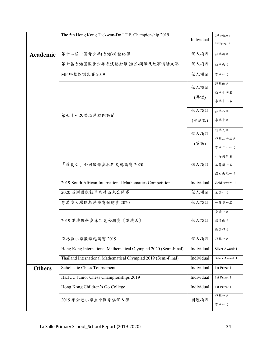|               | The 5th Hong Kong Taekwon-Do I.T.F. Championship 2019           |            | 2 <sup>nd</sup> Prize: 1 |
|---------------|-----------------------------------------------------------------|------------|--------------------------|
|               |                                                                 | Individual | $3rd$ Prize: 2           |
|               |                                                                 |            |                          |
| Academic      | 第十二届中國青少年(香港)才藝比賽                                               | 個人項目       | 亞軍兩名                     |
|               | 第七屆香港國際青少年表演藝術節 2019-朗誦及故事演講大賽                                  | 個人項目       | 亞軍兩名                     |
|               | MF 聯校朗誦比賽 2019                                                  | 個人項目       | 季軍一名                     |
|               |                                                                 | 個人項目       | 冠軍兩名                     |
|               |                                                                 |            | 亞軍十四名                    |
|               |                                                                 | (粤語)       | 季軍十三名                    |
|               | 第七十一屆香港學校朗誦節                                                    | 個人項目       | 亞軍八名                     |
|               |                                                                 | (普通話)      | 季軍十名                     |
|               |                                                                 | 個人項目       | 冠軍九名                     |
|               |                                                                 | (英語)       | 亞軍二十三名                   |
|               |                                                                 |            | 季軍二十一名                   |
|               |                                                                 |            | 一等獎三名                    |
|               | 「華夏盃」全國數學奧林匹克邀請賽 2020                                           | 個人項目       | 二等獎一名                    |
|               |                                                                 |            | 傑出表現一名                   |
|               | 2019 South African International Mathematics Competition        | Individual | Gold Award: 1            |
|               | 2020 亞洲國際數學奧林匹克公開賽                                              | 個人項目       | 金獎一名                     |
|               | 粤港澳大灣區數學競賽預選賽 2020                                              | 個人項目       | 一等獎一名                    |
|               |                                                                 |            | 金獎一名                     |
|               | 2019 港澳數學奧林匹克公開賽《港澳盃》                                           | 個人項目       | 銀獎兩名                     |
|               |                                                                 |            | 銅獎四名                     |
|               | 泓志盃小學數學邀請賽 2019                                                 | 個人項目       | 冠軍一名                     |
|               | Hong Kong International Mathematical Olympiad 2020 (Semi-Final) | Individual | Silver Award: 1          |
|               | Thailand International Mathematical Olympiad 2019 (Semi-Final)  | Individual | Silver Award: 1          |
| <b>Others</b> | Scholastic Chess Tournament                                     | Individual | 1st Prize: 1             |
|               | HKJCC Junior Chess Championships 2019                           | Individual | 1st Prize: 1             |
|               | Hong Kong Children's Go College                                 | Individual | 1st Prize: 1             |
|               | 2019年全港小學生中國象棋個人賽                                               | 團體項目       | 亞軍一名                     |
|               |                                                                 |            | 季軍一名                     |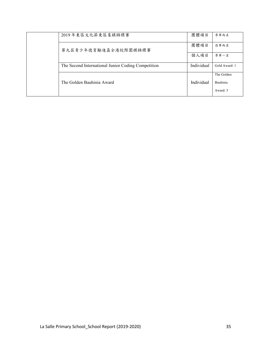|  | 2019年東區文化節東區象棋錦標賽                                  | 團體項目       | 季軍兩名          |
|--|----------------------------------------------------|------------|---------------|
|  | 第九屆青少年德育勵進盃全港校際圍棋錦標賽                               | 團體項目       | 亞軍兩名          |
|  |                                                    | 個人項目       | 季軍一名          |
|  | The Second International Junior Coding Competition | Individual | Gold Award: 1 |
|  |                                                    |            | The Golden    |
|  | The Golden Bauhinia Award                          | Individual | Bauhinia      |
|  |                                                    |            | Award: 5      |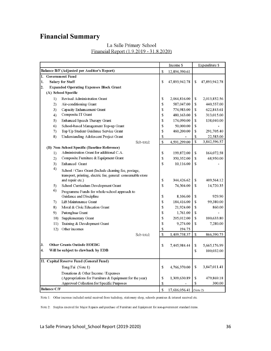# **Financial Summary**

|                  |                        |                                                             | Income \$          |               | Expenditure \$ |               |
|------------------|------------------------|-------------------------------------------------------------|--------------------|---------------|----------------|---------------|
|                  |                        | Balance B/F (Adjusted per Auditor's Report)                 | \$                 | 12,894,390.61 |                |               |
| I.               | <b>Government Fund</b> |                                                             |                    |               |                |               |
| 1.               |                        | <b>Salary for Staff</b>                                     | S                  | 47,893,942.78 | \$             | 47,893,942.78 |
| $\overline{2}$ . |                        | <b>Expanded Operating Expenses Block Grant</b>              |                    |               |                |               |
|                  |                        | (A) School Specific                                         |                    |               |                |               |
|                  | 1)                     | Revised Administration Grant                                | \$                 | 2,064,816.00  | \$             | 2,013,852.56  |
|                  | 2)                     | Air-conditioning Grant                                      | \$                 | 587,047.00    | \$             | 440,557.00    |
|                  | 3)                     | Capacity Enhancement Grant                                  | \$                 | 774,983.00    | \$             | 622,843.61    |
|                  | 4)                     | Composite IT Grant                                          | \$                 | 480,163.00    | \$             | 313,015.00    |
|                  | 5)                     | Enhanced Speech Therapy Grant                               | \$                 | 174,090.00    | \$             | 138,040.00    |
|                  | 6)                     | School-based Management Top-up Grant                        | \$                 | 50,000.00     | \$             |               |
|                  | 7)                     | Top Up Student Guidance Service Grant                       | \$                 | 460,200.00    | \$             | 291,705.40    |
|                  | 8)                     | Understanding Adolescent Project Grant                      | \$                 |               | \$             | 22,583.00     |
|                  |                        | Sub-total:                                                  | \$                 | 4,591,299.00  | <b>S</b>       | 3,842,596.57  |
|                  |                        | (B) Non-School Specific (Baseline Reference)                |                    |               |                |               |
|                  | 1)                     | Administration Grant for additional C.A.                    | \$                 | 199,872.00    | \$             | 164,072.58    |
|                  | 2)                     | Composite Furniture & Equipment Grant                       | \$                 | 350,352.00    | \$             | 68,950.00     |
|                  | 3)                     | Enhanced Grant                                              | $\mathbf S$        | 10,116.00     | \$             |               |
|                  | 4)                     | School / Class Grant (Include cleaning fee, postage,        |                    |               |                |               |
|                  |                        | transport, printing, electric fee, general consumable store |                    |               |                |               |
|                  |                        | and repair etc.)                                            | \$                 | 344,426.62    | $\mathbf S$    | 409,564.12    |
|                  | 5)                     | School Curriculum Development Grant                         | $\mathbf S$        | 74,304.00     | \$             | 14,720.35     |
|                  | 6)                     | Programme Funds for whole-school approach to                |                    |               |                |               |
|                  |                        | Guidance and Discipline                                     | \$                 | 8,106.00      | \$             | 929.90        |
|                  | 7)                     | Lift Maintenance Grant                                      | \$                 | 184,416.00    | \$             | 99,380.00     |
|                  | 8)                     | Moral & Civic Education Grant                               | \$                 | 21,924.00     | \$             | 860.00        |
|                  | 9)                     | Putonghua Grant                                             | \$                 | 1,761.00      | \$             |               |
|                  | 10)                    | Supplementary Grant                                         | \$                 | 205,012.00    | \$             | 100,633.80    |
|                  | 11)                    | Training & Development Grant                                | \$                 | 9,274.00      | \$             | 7,280.00      |
|                  | 12)                    | Other incomes                                               | \$                 | 194.75        |                |               |
|                  |                        | Sub-total:                                                  | \$                 | 1,409,758.37  | \$             | 866,390.75    |
|                  |                        |                                                             |                    |               |                |               |
| 3.               |                        | <b>Other Grants Outisde EOEBG</b>                           | \$                 | 7,445,984.44  | \$             | 5,665,176.99  |
| 4.               |                        | Will be subject to clawback by EDB                          |                    |               | \$             | 100,032.00    |
|                  |                        |                                                             |                    |               |                |               |
|                  |                        | II. Capital Reserve Fund (General Fund)                     |                    |               |                |               |
|                  |                        | Tong Fai (Note 1)                                           | <sup>\$</sup>      | 4,766,370.00  | \$             | 3,847,011.41  |
|                  |                        | Donations & Other Income / Expenses                         |                    |               |                |               |
|                  |                        | (Appropriations for Furniture & Equipment for the year)     | $\mathbf S$        | 1,309,630.89  | \$             | 479,869.18    |
|                  |                        | Approved Collection for Specific Purposes                   | \$                 |               | \$             | 300.00        |
|                  | <b>Balance C/F</b>     |                                                             | $\mathbf{\hat{S}}$ | 17 616 056 41 | [Note 2]       |               |

#### La Salle Primary School Financial Report (1.9.2019 - 31.8.2020)

Note 1: Other incomes included rental received from tuckshop, stationery shop, schools premises & interest received etc.

Note 2: Surplus reserved for Major Repairs and purchase of Furniture and Equipment for non-government standard items.